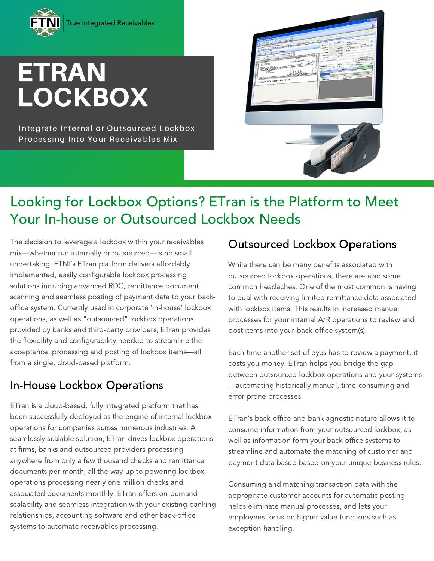

# **ETRAN LOCKBOX**

Integrate Internal or Outsourced Lockbox Processing Into Your Receivables Mix



## Looking for Lockbox Options? ETran is the Platform to Meet Your In-house or Outsourced Lockbox Needs

The decision to leverage a lockbox within your receivables mix—whether run internally or outsourced—is no small undertaking. FTNI's ETran platform delivers affordably implemented, easily configurable lockbox processing solutions including advanced RDC, remittance document scanning and seamless posting of payment data to your backoffice system. Currently used in corporate 'in-house' lockbox operations, as well as "outsourced" lockbox operations provided by banks and third-party providers, ETran provides the flexibility and configurability needed to streamline the acceptance, processing and posting of lockbox items—all from a single, cloud-based platform.

#### In-House Lockbox Operations

ETran is a cloud-based, fully integrated platform that has been successfully deployed as the engine of internal lockbox operations for companies across numerous industries. A seamlessly scalable solution, ETran drives lockbox operations at firms, banks and outsourced providers processing anywhere from only a few thousand checks and remittance documents per month, all the way up to powering lockbox operations processing nearly one million checks and associated documents monthly. ETran offers on-demand scalability and seamless integration with your existing banking relationships, accounting software and other back-office systems to automate receivables processing.

#### Outsourced Lockbox Operations

While there can be many benefits associated with outsourced lockbox operations, there are also some common headaches. One of the most common is having to deal with receiving limited remittance data associated with lockbox items. This results in increased manual processes for your internal A/R operations to review and post items into your back-office system(s).

Each time another set of eyes has to review a payment, it costs you money. ETran helps you bridge the gap between outsourced lockbox operations and your systems —automating historically manual, time-consuming and error prone processes.

ETran's back-office and bank agnostic nature allows it to consume information from your outsourced lockbox, as well as information form your back-office systems to streamline and automate the matching of customer and payment data based based on your unique business rules.

Consuming and matching transaction data with the appropriate customer accounts for automatic posting helps eliminate manual processes, and lets your employees focus on higher value functions such as exception handling.